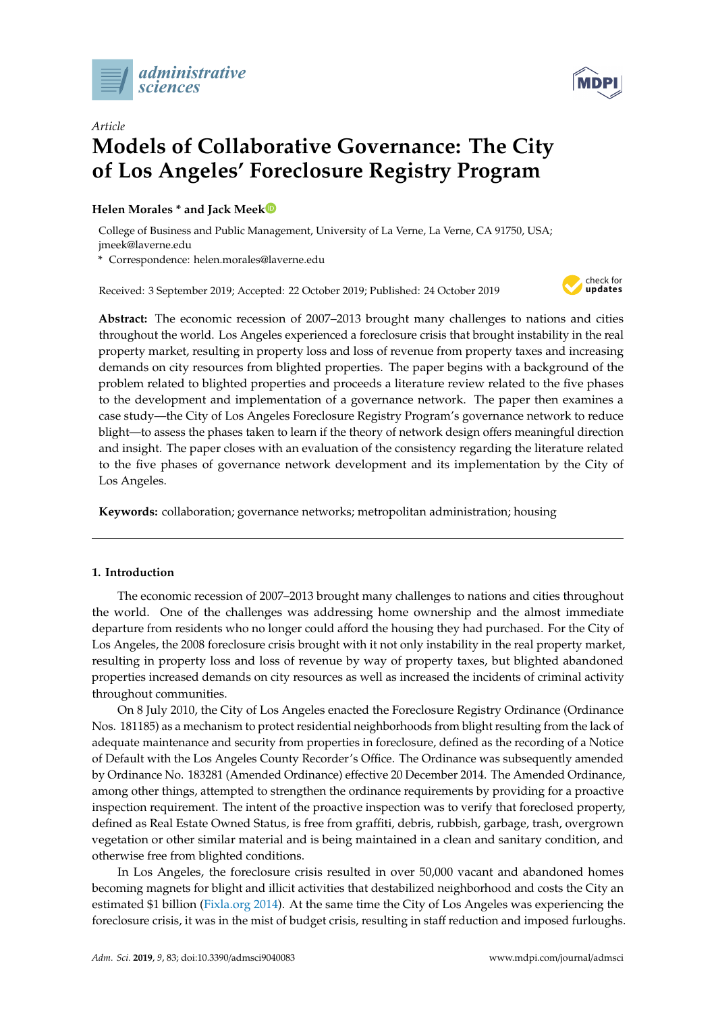



# *Article* **Models of Collaborative Governance: The City of Los Angeles' Foreclosure Registry Program**

# **Helen Morales \* and Jack Mee[k](https://orcid.org/0000-0003-2819-0515)**

College of Business and Public Management, University of La Verne, La Verne, CA 91750, USA; jmeek@laverne.edu

**\*** Correspondence: helen.morales@laverne.edu

Received: 3 September 2019; Accepted: 22 October 2019; Published: 24 October 2019



**Abstract:** The economic recession of 2007–2013 brought many challenges to nations and cities throughout the world. Los Angeles experienced a foreclosure crisis that brought instability in the real property market, resulting in property loss and loss of revenue from property taxes and increasing demands on city resources from blighted properties. The paper begins with a background of the problem related to blighted properties and proceeds a literature review related to the five phases to the development and implementation of a governance network. The paper then examines a case study—the City of Los Angeles Foreclosure Registry Program's governance network to reduce blight—to assess the phases taken to learn if the theory of network design offers meaningful direction and insight. The paper closes with an evaluation of the consistency regarding the literature related to the five phases of governance network development and its implementation by the City of Los Angeles.

**Keywords:** collaboration; governance networks; metropolitan administration; housing

## **1. Introduction**

The economic recession of 2007–2013 brought many challenges to nations and cities throughout the world. One of the challenges was addressing home ownership and the almost immediate departure from residents who no longer could afford the housing they had purchased. For the City of Los Angeles, the 2008 foreclosure crisis brought with it not only instability in the real property market, resulting in property loss and loss of revenue by way of property taxes, but blighted abandoned properties increased demands on city resources as well as increased the incidents of criminal activity throughout communities.

On 8 July 2010, the City of Los Angeles enacted the Foreclosure Registry Ordinance (Ordinance Nos. 181185) as a mechanism to protect residential neighborhoods from blight resulting from the lack of adequate maintenance and security from properties in foreclosure, defined as the recording of a Notice of Default with the Los Angeles County Recorder's Office. The Ordinance was subsequently amended by Ordinance No. 183281 (Amended Ordinance) effective 20 December 2014. The Amended Ordinance, among other things, attempted to strengthen the ordinance requirements by providing for a proactive inspection requirement. The intent of the proactive inspection was to verify that foreclosed property, defined as Real Estate Owned Status, is free from graffiti, debris, rubbish, garbage, trash, overgrown vegetation or other similar material and is being maintained in a clean and sanitary condition, and otherwise free from blighted conditions.

In Los Angeles, the foreclosure crisis resulted in over 50,000 vacant and abandoned homes becoming magnets for blight and illicit activities that destabilized neighborhood and costs the City an estimated \$1 billion [\(Fixla.org](#page-14-0) [2014\)](#page-14-0). At the same time the City of Los Angeles was experiencing the foreclosure crisis, it was in the mist of budget crisis, resulting in staff reduction and imposed furloughs.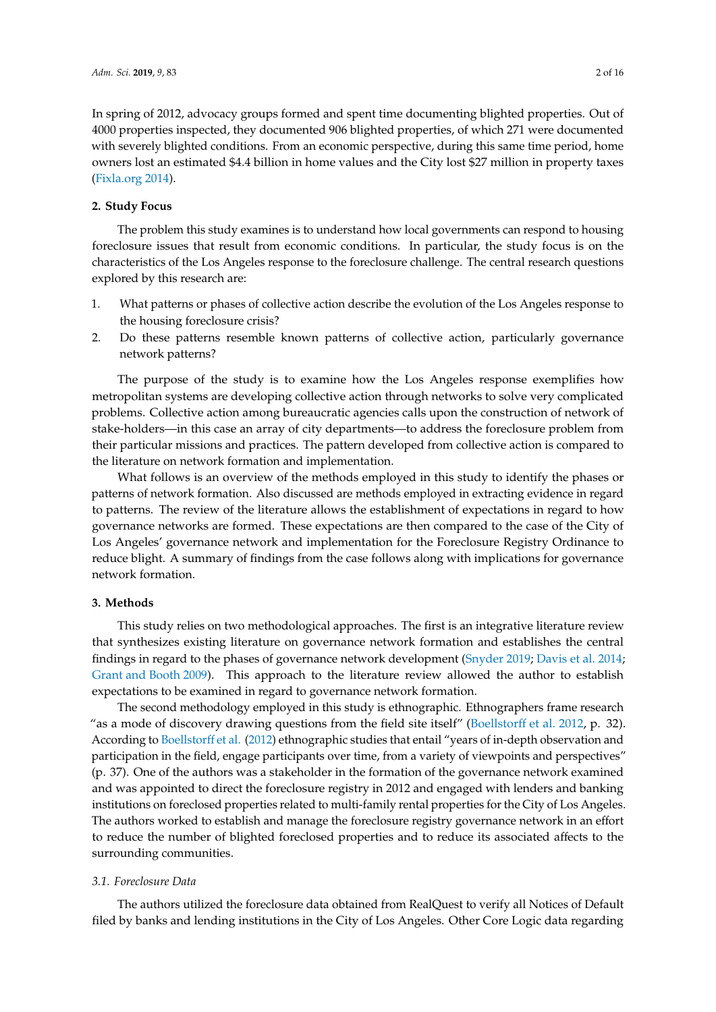In spring of 2012, advocacy groups formed and spent time documenting blighted properties. Out of 4000 properties inspected, they documented 906 blighted properties, of which 271 were documented with severely blighted conditions. From an economic perspective, during this same time period, home owners lost an estimated \$4.4 billion in home values and the City lost \$27 million in property taxes [\(Fixla.org](#page-14-0) [2014\)](#page-14-0).

### **2. Study Focus**

The problem this study examines is to understand how local governments can respond to housing foreclosure issues that result from economic conditions. In particular, the study focus is on the characteristics of the Los Angeles response to the foreclosure challenge. The central research questions explored by this research are:

- 1. What patterns or phases of collective action describe the evolution of the Los Angeles response to the housing foreclosure crisis?
- 2. Do these patterns resemble known patterns of collective action, particularly governance network patterns?

The purpose of the study is to examine how the Los Angeles response exemplifies how metropolitan systems are developing collective action through networks to solve very complicated problems. Collective action among bureaucratic agencies calls upon the construction of network of stake-holders—in this case an array of city departments—to address the foreclosure problem from their particular missions and practices. The pattern developed from collective action is compared to the literature on network formation and implementation.

What follows is an overview of the methods employed in this study to identify the phases or patterns of network formation. Also discussed are methods employed in extracting evidence in regard to patterns. The review of the literature allows the establishment of expectations in regard to how governance networks are formed. These expectations are then compared to the case of the City of Los Angeles' governance network and implementation for the Foreclosure Registry Ordinance to reduce blight. A summary of findings from the case follows along with implications for governance network formation.

#### **3. Methods**

This study relies on two methodological approaches. The first is an integrative literature review that synthesizes existing literature on governance network formation and establishes the central findings in regard to the phases of governance network development [\(Snyder](#page-15-0) [2019;](#page-15-0) [Davis et al.](#page-14-1) [2014;](#page-14-1) [Grant and Booth](#page-14-2) [2009\)](#page-14-2). This approach to the literature review allowed the author to establish expectations to be examined in regard to governance network formation.

The second methodology employed in this study is ethnographic. Ethnographers frame research "as a mode of discovery drawing questions from the field site itself" [\(Boellstor](#page-14-3)ff et al. [2012,](#page-14-3) p. 32). According to [Boellstor](#page-14-3)ff et al. [\(2012\)](#page-14-3) ethnographic studies that entail "years of in-depth observation and participation in the field, engage participants over time, from a variety of viewpoints and perspectives" (p. 37). One of the authors was a stakeholder in the formation of the governance network examined and was appointed to direct the foreclosure registry in 2012 and engaged with lenders and banking institutions on foreclosed properties related to multi-family rental properties for the City of Los Angeles. The authors worked to establish and manage the foreclosure registry governance network in an effort to reduce the number of blighted foreclosed properties and to reduce its associated affects to the surrounding communities.

#### *3.1. Foreclosure Data*

The authors utilized the foreclosure data obtained from RealQuest to verify all Notices of Default filed by banks and lending institutions in the City of Los Angeles. Other Core Logic data regarding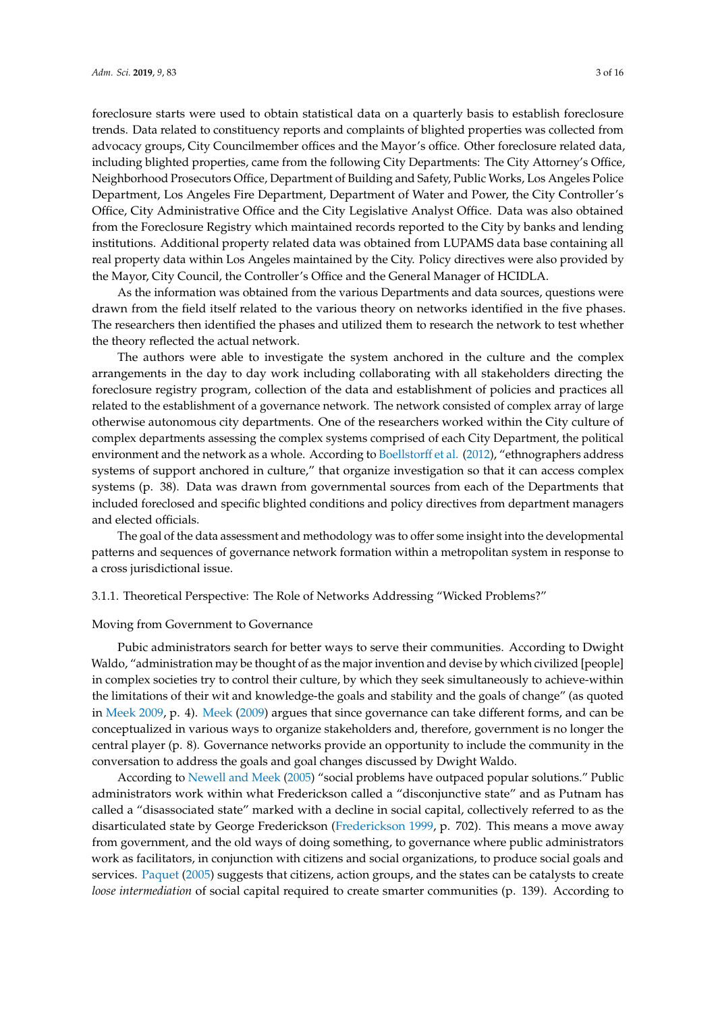foreclosure starts were used to obtain statistical data on a quarterly basis to establish foreclosure trends. Data related to constituency reports and complaints of blighted properties was collected from advocacy groups, City Councilmember offices and the Mayor's office. Other foreclosure related data, including blighted properties, came from the following City Departments: The City Attorney's Office, Neighborhood Prosecutors Office, Department of Building and Safety, Public Works, Los Angeles Police Department, Los Angeles Fire Department, Department of Water and Power, the City Controller's Office, City Administrative Office and the City Legislative Analyst Office. Data was also obtained from the Foreclosure Registry which maintained records reported to the City by banks and lending institutions. Additional property related data was obtained from LUPAMS data base containing all real property data within Los Angeles maintained by the City. Policy directives were also provided by the Mayor, City Council, the Controller's Office and the General Manager of HCIDLA.

As the information was obtained from the various Departments and data sources, questions were drawn from the field itself related to the various theory on networks identified in the five phases. The researchers then identified the phases and utilized them to research the network to test whether the theory reflected the actual network.

The authors were able to investigate the system anchored in the culture and the complex arrangements in the day to day work including collaborating with all stakeholders directing the foreclosure registry program, collection of the data and establishment of policies and practices all related to the establishment of a governance network. The network consisted of complex array of large otherwise autonomous city departments. One of the researchers worked within the City culture of complex departments assessing the complex systems comprised of each City Department, the political environment and the network as a whole. According to [Boellstor](#page-14-3)ff et al. [\(2012\)](#page-14-3), "ethnographers address systems of support anchored in culture," that organize investigation so that it can access complex systems (p. 38). Data was drawn from governmental sources from each of the Departments that included foreclosed and specific blighted conditions and policy directives from department managers and elected officials.

The goal of the data assessment and methodology was to offer some insight into the developmental patterns and sequences of governance network formation within a metropolitan system in response to a cross jurisdictional issue.

3.1.1. Theoretical Perspective: The Role of Networks Addressing "Wicked Problems?"

#### Moving from Government to Governance

Pubic administrators search for better ways to serve their communities. According to Dwight Waldo, "administration may be thought of as the major invention and devise by which civilized [people] in complex societies try to control their culture, by which they seek simultaneously to achieve-within the limitations of their wit and knowledge-the goals and stability and the goals of change" (as quoted in [Meek](#page-14-4) [2009,](#page-14-4) p. 4). [Meek](#page-14-4) [\(2009\)](#page-14-4) argues that since governance can take different forms, and can be conceptualized in various ways to organize stakeholders and, therefore, government is no longer the central player (p. 8). Governance networks provide an opportunity to include the community in the conversation to address the goals and goal changes discussed by Dwight Waldo.

According to [Newell and Meek](#page-15-1) [\(2005\)](#page-15-1) "social problems have outpaced popular solutions." Public administrators work within what Frederickson called a "disconjunctive state" and as Putnam has called a "disassociated state" marked with a decline in social capital, collectively referred to as the disarticulated state by George Frederickson [\(Frederickson](#page-14-5) [1999,](#page-14-5) p. 702). This means a move away from government, and the old ways of doing something, to governance where public administrators work as facilitators, in conjunction with citizens and social organizations, to produce social goals and services. [Paquet](#page-15-2) [\(2005\)](#page-15-2) suggests that citizens, action groups, and the states can be catalysts to create *loose intermediation* of social capital required to create smarter communities (p. 139). According to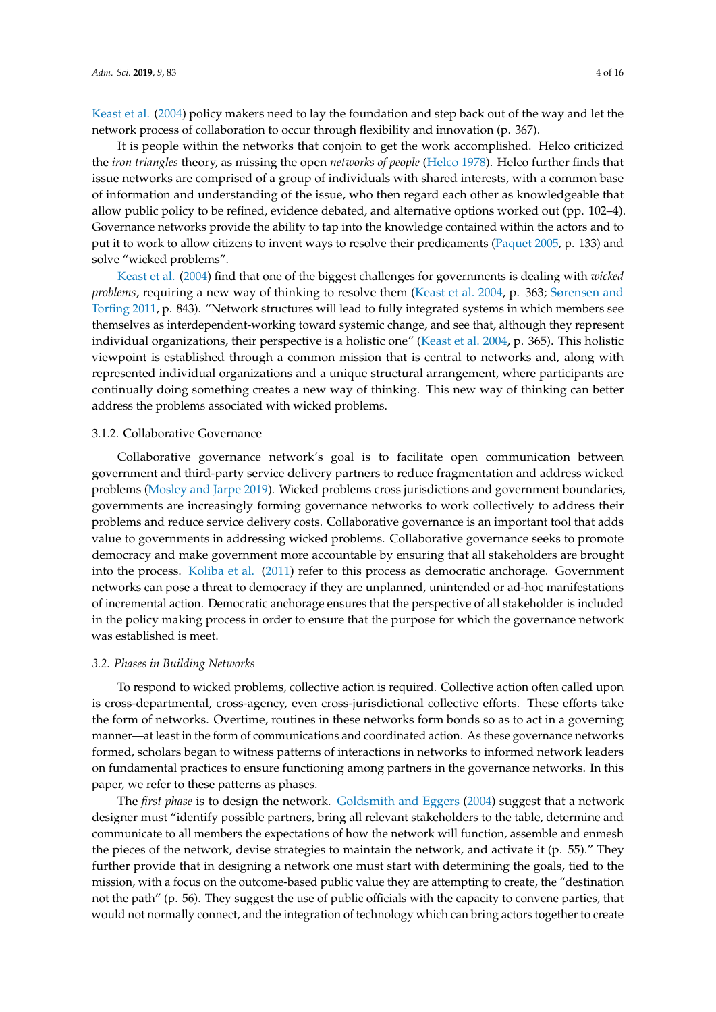[Keast et al.](#page-14-6) [\(2004\)](#page-14-6) policy makers need to lay the foundation and step back out of the way and let the network process of collaboration to occur through flexibility and innovation (p. 367).

It is people within the networks that conjoin to get the work accomplished. Helco criticized the *iron triangles* theory, as missing the open *networks of people* [\(Helco](#page-14-7) [1978\)](#page-14-7). Helco further finds that issue networks are comprised of a group of individuals with shared interests, with a common base of information and understanding of the issue, who then regard each other as knowledgeable that allow public policy to be refined, evidence debated, and alternative options worked out (pp. 102–4). Governance networks provide the ability to tap into the knowledge contained within the actors and to put it to work to allow citizens to invent ways to resolve their predicaments [\(Paquet](#page-15-2) [2005,](#page-15-2) p. 133) and solve "wicked problems".

[Keast et al.](#page-14-6) [\(2004\)](#page-14-6) find that one of the biggest challenges for governments is dealing with *wicked problems*, requiring a new way of thinking to resolve them [\(Keast et al.](#page-14-6) [2004,](#page-14-6) p. 363; [Sørensen and](#page-15-3) [Torfing](#page-15-3) [2011,](#page-15-3) p. 843). "Network structures will lead to fully integrated systems in which members see themselves as interdependent-working toward systemic change, and see that, although they represent individual organizations, their perspective is a holistic one" [\(Keast et al.](#page-14-6) [2004,](#page-14-6) p. 365). This holistic viewpoint is established through a common mission that is central to networks and, along with represented individual organizations and a unique structural arrangement, where participants are continually doing something creates a new way of thinking. This new way of thinking can better address the problems associated with wicked problems.

#### 3.1.2. Collaborative Governance

Collaborative governance network's goal is to facilitate open communication between government and third-party service delivery partners to reduce fragmentation and address wicked problems [\(Mosley and Jarpe](#page-15-4) [2019\)](#page-15-4). Wicked problems cross jurisdictions and government boundaries, governments are increasingly forming governance networks to work collectively to address their problems and reduce service delivery costs. Collaborative governance is an important tool that adds value to governments in addressing wicked problems. Collaborative governance seeks to promote democracy and make government more accountable by ensuring that all stakeholders are brought into the process. [Koliba et al.](#page-14-8) [\(2011\)](#page-14-8) refer to this process as democratic anchorage. Government networks can pose a threat to democracy if they are unplanned, unintended or ad-hoc manifestations of incremental action. Democratic anchorage ensures that the perspective of all stakeholder is included in the policy making process in order to ensure that the purpose for which the governance network was established is meet.

#### *3.2. Phases in Building Networks*

To respond to wicked problems, collective action is required. Collective action often called upon is cross-departmental, cross-agency, even cross-jurisdictional collective efforts. These efforts take the form of networks. Overtime, routines in these networks form bonds so as to act in a governing manner—at least in the form of communications and coordinated action. As these governance networks formed, scholars began to witness patterns of interactions in networks to informed network leaders on fundamental practices to ensure functioning among partners in the governance networks. In this paper, we refer to these patterns as phases.

The *first phase* is to design the network. [Goldsmith and Eggers](#page-14-9) [\(2004\)](#page-14-9) suggest that a network designer must "identify possible partners, bring all relevant stakeholders to the table, determine and communicate to all members the expectations of how the network will function, assemble and enmesh the pieces of the network, devise strategies to maintain the network, and activate it (p. 55)." They further provide that in designing a network one must start with determining the goals, tied to the mission, with a focus on the outcome-based public value they are attempting to create, the "destination not the path" (p. 56). They suggest the use of public officials with the capacity to convene parties, that would not normally connect, and the integration of technology which can bring actors together to create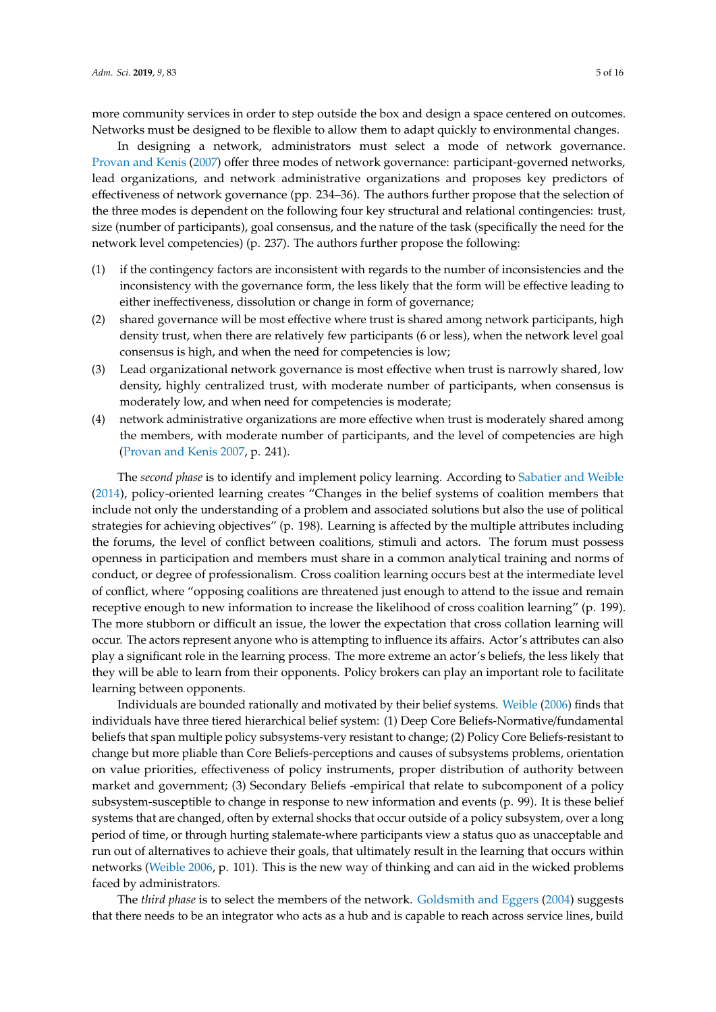more community services in order to step outside the box and design a space centered on outcomes. Networks must be designed to be flexible to allow them to adapt quickly to environmental changes.

In designing a network, administrators must select a mode of network governance. [Provan and Kenis](#page-15-5) [\(2007\)](#page-15-5) offer three modes of network governance: participant-governed networks, lead organizations, and network administrative organizations and proposes key predictors of effectiveness of network governance (pp. 234–36). The authors further propose that the selection of the three modes is dependent on the following four key structural and relational contingencies: trust, size (number of participants), goal consensus, and the nature of the task (specifically the need for the network level competencies) (p. 237). The authors further propose the following:

- (1) if the contingency factors are inconsistent with regards to the number of inconsistencies and the inconsistency with the governance form, the less likely that the form will be effective leading to either ineffectiveness, dissolution or change in form of governance;
- (2) shared governance will be most effective where trust is shared among network participants, high density trust, when there are relatively few participants (6 or less), when the network level goal consensus is high, and when the need for competencies is low;
- (3) Lead organizational network governance is most effective when trust is narrowly shared, low density, highly centralized trust, with moderate number of participants, when consensus is moderately low, and when need for competencies is moderate;
- (4) network administrative organizations are more effective when trust is moderately shared among the members, with moderate number of participants, and the level of competencies are high [\(Provan and Kenis](#page-15-5) [2007,](#page-15-5) p. 241).

The *second phase* is to identify and implement policy learning. According to [Sabatier and Weible](#page-15-6) [\(2014\)](#page-15-6), policy-oriented learning creates "Changes in the belief systems of coalition members that include not only the understanding of a problem and associated solutions but also the use of political strategies for achieving objectives" (p. 198). Learning is affected by the multiple attributes including the forums, the level of conflict between coalitions, stimuli and actors. The forum must possess openness in participation and members must share in a common analytical training and norms of conduct, or degree of professionalism. Cross coalition learning occurs best at the intermediate level of conflict, where "opposing coalitions are threatened just enough to attend to the issue and remain receptive enough to new information to increase the likelihood of cross coalition learning" (p. 199). The more stubborn or difficult an issue, the lower the expectation that cross collation learning will occur. The actors represent anyone who is attempting to influence its affairs. Actor's attributes can also play a significant role in the learning process. The more extreme an actor's beliefs, the less likely that they will be able to learn from their opponents. Policy brokers can play an important role to facilitate learning between opponents.

Individuals are bounded rationally and motivated by their belief systems. [Weible](#page-15-7) [\(2006\)](#page-15-7) finds that individuals have three tiered hierarchical belief system: (1) Deep Core Beliefs-Normative/fundamental beliefs that span multiple policy subsystems-very resistant to change; (2) Policy Core Beliefs-resistant to change but more pliable than Core Beliefs-perceptions and causes of subsystems problems, orientation on value priorities, effectiveness of policy instruments, proper distribution of authority between market and government; (3) Secondary Beliefs -empirical that relate to subcomponent of a policy subsystem-susceptible to change in response to new information and events (p. 99). It is these belief systems that are changed, often by external shocks that occur outside of a policy subsystem, over a long period of time, or through hurting stalemate-where participants view a status quo as unacceptable and run out of alternatives to achieve their goals, that ultimately result in the learning that occurs within networks [\(Weible](#page-15-7) [2006,](#page-15-7) p. 101). This is the new way of thinking and can aid in the wicked problems faced by administrators.

The *third phase* is to select the members of the network. [Goldsmith and Eggers](#page-14-9) [\(2004\)](#page-14-9) suggests that there needs to be an integrator who acts as a hub and is capable to reach across service lines, build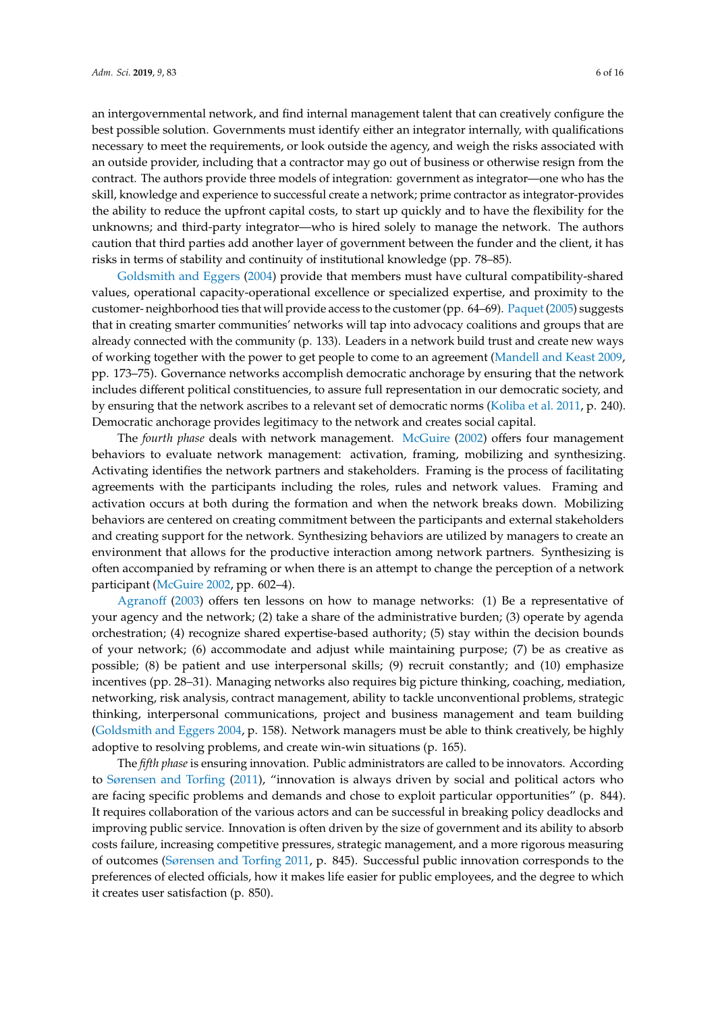an intergovernmental network, and find internal management talent that can creatively configure the best possible solution. Governments must identify either an integrator internally, with qualifications necessary to meet the requirements, or look outside the agency, and weigh the risks associated with an outside provider, including that a contractor may go out of business or otherwise resign from the contract. The authors provide three models of integration: government as integrator—one who has the skill, knowledge and experience to successful create a network; prime contractor as integrator-provides the ability to reduce the upfront capital costs, to start up quickly and to have the flexibility for the unknowns; and third-party integrator—who is hired solely to manage the network. The authors caution that third parties add another layer of government between the funder and the client, it has risks in terms of stability and continuity of institutional knowledge (pp. 78–85).

[Goldsmith and Eggers](#page-14-9) [\(2004\)](#page-14-9) provide that members must have cultural compatibility-shared values, operational capacity-operational excellence or specialized expertise, and proximity to the customer- neighborhood ties that will provide access to the customer (pp. 64–69). [Paquet](#page-15-2) [\(2005\)](#page-15-2) suggests that in creating smarter communities' networks will tap into advocacy coalitions and groups that are already connected with the community (p. 133). Leaders in a network build trust and create new ways of working together with the power to get people to come to an agreement [\(Mandell and Keast](#page-14-10) [2009,](#page-14-10) pp. 173–75). Governance networks accomplish democratic anchorage by ensuring that the network includes different political constituencies, to assure full representation in our democratic society, and by ensuring that the network ascribes to a relevant set of democratic norms [\(Koliba et al.](#page-14-8) [2011,](#page-14-8) p. 240). Democratic anchorage provides legitimacy to the network and creates social capital.

The *fourth phase* deals with network management. [McGuire](#page-14-11) [\(2002\)](#page-14-11) offers four management behaviors to evaluate network management: activation, framing, mobilizing and synthesizing. Activating identifies the network partners and stakeholders. Framing is the process of facilitating agreements with the participants including the roles, rules and network values. Framing and activation occurs at both during the formation and when the network breaks down. Mobilizing behaviors are centered on creating commitment between the participants and external stakeholders and creating support for the network. Synthesizing behaviors are utilized by managers to create an environment that allows for the productive interaction among network partners. Synthesizing is often accompanied by reframing or when there is an attempt to change the perception of a network participant [\(McGuire](#page-14-11) [2002,](#page-14-11) pp. 602–4).

[Agrano](#page-14-12)ff [\(2003\)](#page-14-12) offers ten lessons on how to manage networks: (1) Be a representative of your agency and the network; (2) take a share of the administrative burden; (3) operate by agenda orchestration; (4) recognize shared expertise-based authority; (5) stay within the decision bounds of your network; (6) accommodate and adjust while maintaining purpose; (7) be as creative as possible; (8) be patient and use interpersonal skills; (9) recruit constantly; and (10) emphasize incentives (pp. 28–31). Managing networks also requires big picture thinking, coaching, mediation, networking, risk analysis, contract management, ability to tackle unconventional problems, strategic thinking, interpersonal communications, project and business management and team building [\(Goldsmith and Eggers](#page-14-9) [2004,](#page-14-9) p. 158). Network managers must be able to think creatively, be highly adoptive to resolving problems, and create win-win situations (p. 165).

The *fifth phase* is ensuring innovation. Public administrators are called to be innovators. According to [Sørensen and Torfing](#page-15-3) [\(2011\)](#page-15-3), "innovation is always driven by social and political actors who are facing specific problems and demands and chose to exploit particular opportunities" (p. 844). It requires collaboration of the various actors and can be successful in breaking policy deadlocks and improving public service. Innovation is often driven by the size of government and its ability to absorb costs failure, increasing competitive pressures, strategic management, and a more rigorous measuring of outcomes [\(Sørensen and Torfing](#page-15-3) [2011,](#page-15-3) p. 845). Successful public innovation corresponds to the preferences of elected officials, how it makes life easier for public employees, and the degree to which it creates user satisfaction (p. 850).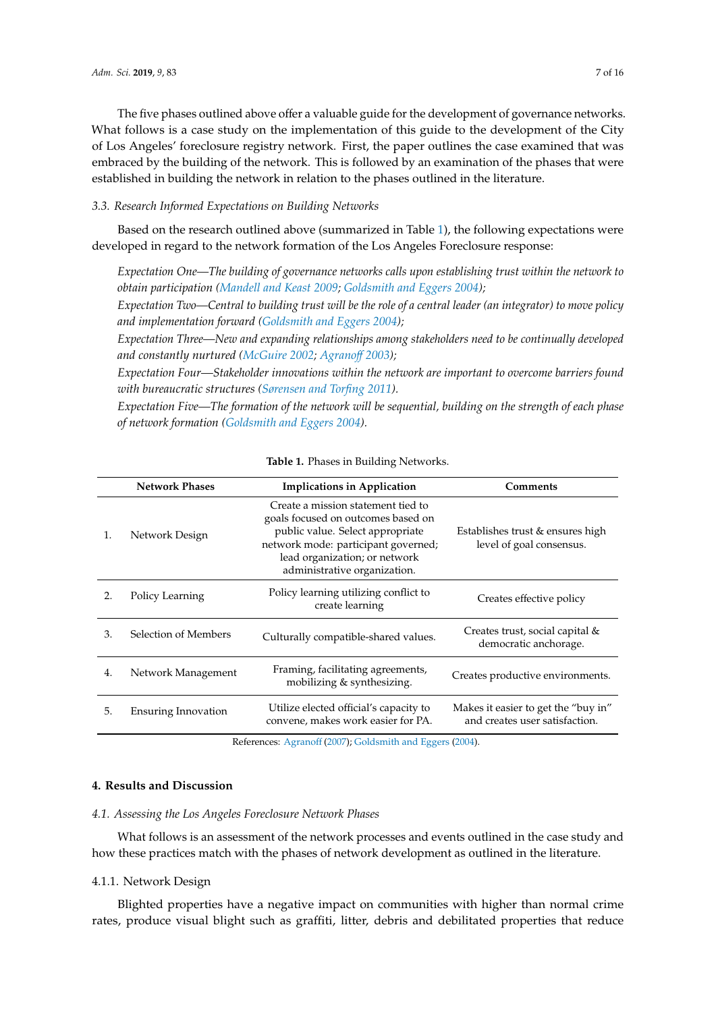The five phases outlined above offer a valuable guide for the development of governance networks. What follows is a case study on the implementation of this guide to the development of the City of Los Angeles' foreclosure registry network. First, the paper outlines the case examined that was embraced by the building of the network. This is followed by an examination of the phases that were established in building the network in relation to the phases outlined in the literature.

#### *3.3. Research Informed Expectations on Building Networks*

Based on the research outlined above (summarized in Table [1\)](#page-6-0), the following expectations were developed in regard to the network formation of the Los Angeles Foreclosure response:

*Expectation One—The building of governance networks calls upon establishing trust within the network to obtain participation [\(Mandell and Keast](#page-14-10) [2009;](#page-14-10) [Goldsmith and Eggers](#page-14-9) [2004\)](#page-14-9);*

*Expectation Two—Central to building trust will be the role of a central leader (an integrator) to move policy and implementation forward [\(Goldsmith and Eggers](#page-14-9) [2004\)](#page-14-9);*

*Expectation Three—New and expanding relationships among stakeholders need to be continually developed and constantly nurtured [\(McGuire](#page-14-11) [2002;](#page-14-11) [Agrano](#page-14-12)*ff *[2003\)](#page-14-12);*

*Expectation Four—Stakeholder innovations within the network are important to overcome barriers found with bureaucratic structures [\(Sørensen and Torfing](#page-15-3) [2011\)](#page-15-3).*

*Expectation Five—The formation of the network will be sequential, building on the strength of each phase of network formation [\(Goldsmith and Eggers](#page-14-9) [2004\)](#page-14-9).*

<span id="page-6-0"></span>

|                | <b>Network Phases</b>      | <b>Implications in Application</b>                                                                                                                                                                                   | Comments                                                              |
|----------------|----------------------------|----------------------------------------------------------------------------------------------------------------------------------------------------------------------------------------------------------------------|-----------------------------------------------------------------------|
| $\mathbf{1}$ . | Network Design             | Create a mission statement tied to<br>goals focused on outcomes based on<br>public value. Select appropriate<br>network mode: participant governed;<br>lead organization; or network<br>administrative organization. | Establishes trust & ensures high<br>level of goal consensus.          |
| 2.             | Policy Learning            | Policy learning utilizing conflict to<br>create learning                                                                                                                                                             | Creates effective policy                                              |
| 3.             | Selection of Members       | Culturally compatible-shared values.                                                                                                                                                                                 | Creates trust, social capital &<br>democratic anchorage.              |
| 4.             | Network Management         | Framing, facilitating agreements,<br>mobilizing & synthesizing.                                                                                                                                                      | Creates productive environments.                                      |
| 5.             | <b>Ensuring Innovation</b> | Utilize elected official's capacity to<br>convene, makes work easier for PA.                                                                                                                                         | Makes it easier to get the "buy in"<br>and creates user satisfaction. |
|                |                            |                                                                                                                                                                                                                      |                                                                       |

|  |  |  |  | Table 1. Phases in Building Networks. |
|--|--|--|--|---------------------------------------|
|--|--|--|--|---------------------------------------|

References: [Agrano](#page-14-13)ff [\(2007\)](#page-14-13); [Goldsmith and Eggers](#page-14-9) [\(2004\)](#page-14-9).

## **4. Results and Discussion**

#### *4.1. Assessing the Los Angeles Foreclosure Network Phases*

What follows is an assessment of the network processes and events outlined in the case study and how these practices match with the phases of network development as outlined in the literature.

#### 4.1.1. Network Design

Blighted properties have a negative impact on communities with higher than normal crime rates, produce visual blight such as graffiti, litter, debris and debilitated properties that reduce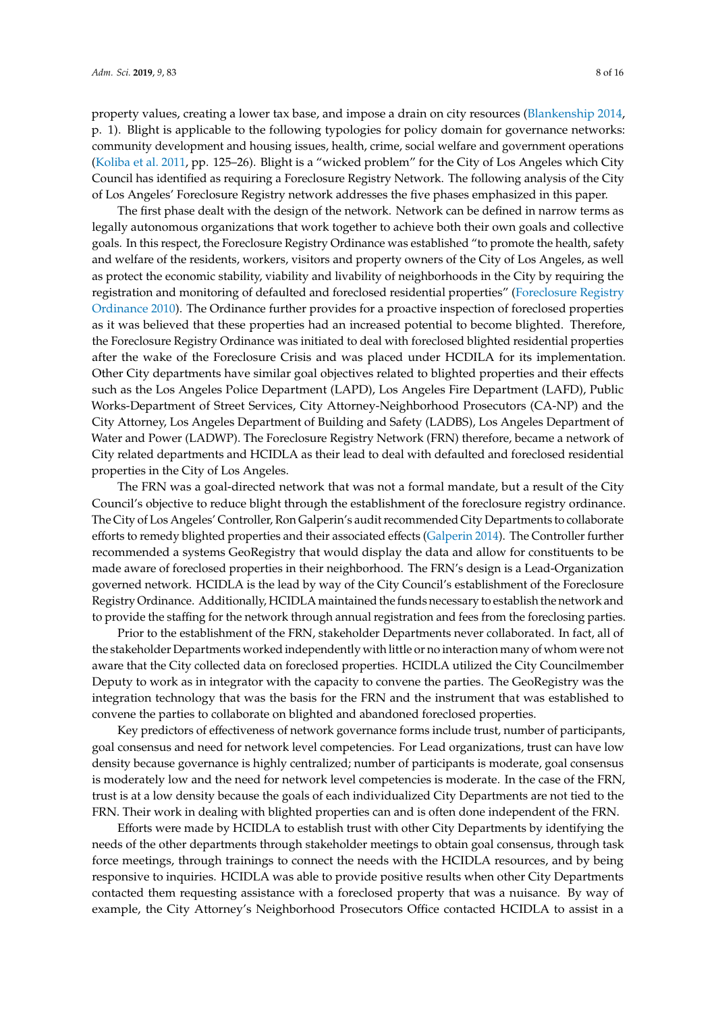property values, creating a lower tax base, and impose a drain on city resources [\(Blankenship](#page-14-14) [2014,](#page-14-14)

p. 1). Blight is applicable to the following typologies for policy domain for governance networks: community development and housing issues, health, crime, social welfare and government operations [\(Koliba et al.](#page-14-8) [2011,](#page-14-8) pp. 125–26). Blight is a "wicked problem" for the City of Los Angeles which City Council has identified as requiring a Foreclosure Registry Network. The following analysis of the City of Los Angeles' Foreclosure Registry network addresses the five phases emphasized in this paper.

The first phase dealt with the design of the network. Network can be defined in narrow terms as legally autonomous organizations that work together to achieve both their own goals and collective goals. In this respect, the Foreclosure Registry Ordinance was established "to promote the health, safety and welfare of the residents, workers, visitors and property owners of the City of Los Angeles, as well as protect the economic stability, viability and livability of neighborhoods in the City by requiring the registration and monitoring of defaulted and foreclosed residential properties" [\(Foreclosure Registry](#page-14-15) [Ordinance](#page-14-15) [2010\)](#page-14-15). The Ordinance further provides for a proactive inspection of foreclosed properties as it was believed that these properties had an increased potential to become blighted. Therefore, the Foreclosure Registry Ordinance was initiated to deal with foreclosed blighted residential properties after the wake of the Foreclosure Crisis and was placed under HCDILA for its implementation. Other City departments have similar goal objectives related to blighted properties and their effects such as the Los Angeles Police Department (LAPD), Los Angeles Fire Department (LAFD), Public Works-Department of Street Services, City Attorney-Neighborhood Prosecutors (CA-NP) and the City Attorney, Los Angeles Department of Building and Safety (LADBS), Los Angeles Department of Water and Power (LADWP). The Foreclosure Registry Network (FRN) therefore, became a network of City related departments and HCIDLA as their lead to deal with defaulted and foreclosed residential properties in the City of Los Angeles.

The FRN was a goal-directed network that was not a formal mandate, but a result of the City Council's objective to reduce blight through the establishment of the foreclosure registry ordinance. The City of Los Angeles' Controller, Ron Galperin's audit recommended City Departments to collaborate efforts to remedy blighted properties and their associated effects [\(Galperin](#page-14-16) [2014\)](#page-14-16). The Controller further recommended a systems GeoRegistry that would display the data and allow for constituents to be made aware of foreclosed properties in their neighborhood. The FRN's design is a Lead-Organization governed network. HCIDLA is the lead by way of the City Council's establishment of the Foreclosure Registry Ordinance. Additionally, HCIDLA maintained the funds necessary to establish the network and to provide the staffing for the network through annual registration and fees from the foreclosing parties.

Prior to the establishment of the FRN, stakeholder Departments never collaborated. In fact, all of the stakeholder Departments worked independently with little or no interaction many of whom were not aware that the City collected data on foreclosed properties. HCIDLA utilized the City Councilmember Deputy to work as in integrator with the capacity to convene the parties. The GeoRegistry was the integration technology that was the basis for the FRN and the instrument that was established to convene the parties to collaborate on blighted and abandoned foreclosed properties.

Key predictors of effectiveness of network governance forms include trust, number of participants, goal consensus and need for network level competencies. For Lead organizations, trust can have low density because governance is highly centralized; number of participants is moderate, goal consensus is moderately low and the need for network level competencies is moderate. In the case of the FRN, trust is at a low density because the goals of each individualized City Departments are not tied to the FRN. Their work in dealing with blighted properties can and is often done independent of the FRN.

Efforts were made by HCIDLA to establish trust with other City Departments by identifying the needs of the other departments through stakeholder meetings to obtain goal consensus, through task force meetings, through trainings to connect the needs with the HCIDLA resources, and by being responsive to inquiries. HCIDLA was able to provide positive results when other City Departments contacted them requesting assistance with a foreclosed property that was a nuisance. By way of example, the City Attorney's Neighborhood Prosecutors Office contacted HCIDLA to assist in a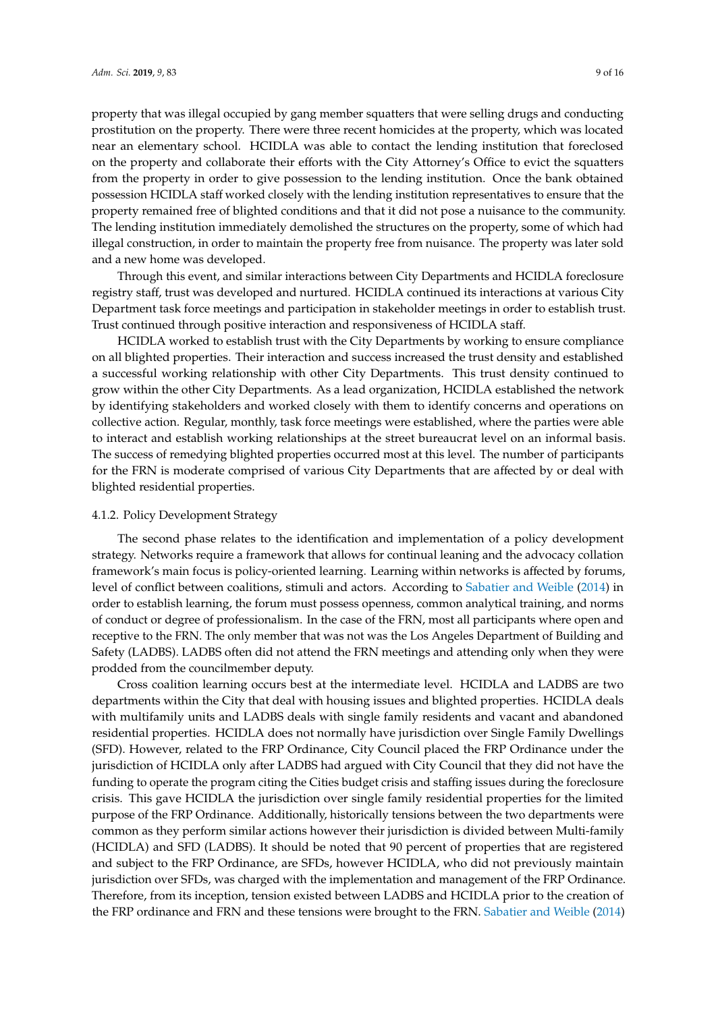property that was illegal occupied by gang member squatters that were selling drugs and conducting prostitution on the property. There were three recent homicides at the property, which was located near an elementary school. HCIDLA was able to contact the lending institution that foreclosed on the property and collaborate their efforts with the City Attorney's Office to evict the squatters from the property in order to give possession to the lending institution. Once the bank obtained possession HCIDLA staff worked closely with the lending institution representatives to ensure that the property remained free of blighted conditions and that it did not pose a nuisance to the community. The lending institution immediately demolished the structures on the property, some of which had illegal construction, in order to maintain the property free from nuisance. The property was later sold and a new home was developed.

Through this event, and similar interactions between City Departments and HCIDLA foreclosure registry staff, trust was developed and nurtured. HCIDLA continued its interactions at various City Department task force meetings and participation in stakeholder meetings in order to establish trust. Trust continued through positive interaction and responsiveness of HCIDLA staff.

HCIDLA worked to establish trust with the City Departments by working to ensure compliance on all blighted properties. Their interaction and success increased the trust density and established a successful working relationship with other City Departments. This trust density continued to grow within the other City Departments. As a lead organization, HCIDLA established the network by identifying stakeholders and worked closely with them to identify concerns and operations on collective action. Regular, monthly, task force meetings were established, where the parties were able to interact and establish working relationships at the street bureaucrat level on an informal basis. The success of remedying blighted properties occurred most at this level. The number of participants for the FRN is moderate comprised of various City Departments that are affected by or deal with blighted residential properties.

#### 4.1.2. Policy Development Strategy

The second phase relates to the identification and implementation of a policy development strategy. Networks require a framework that allows for continual leaning and the advocacy collation framework's main focus is policy-oriented learning. Learning within networks is affected by forums, level of conflict between coalitions, stimuli and actors. According to [Sabatier and Weible](#page-15-6) [\(2014\)](#page-15-6) in order to establish learning, the forum must possess openness, common analytical training, and norms of conduct or degree of professionalism. In the case of the FRN, most all participants where open and receptive to the FRN. The only member that was not was the Los Angeles Department of Building and Safety (LADBS). LADBS often did not attend the FRN meetings and attending only when they were prodded from the councilmember deputy.

Cross coalition learning occurs best at the intermediate level. HCIDLA and LADBS are two departments within the City that deal with housing issues and blighted properties. HCIDLA deals with multifamily units and LADBS deals with single family residents and vacant and abandoned residential properties. HCIDLA does not normally have jurisdiction over Single Family Dwellings (SFD). However, related to the FRP Ordinance, City Council placed the FRP Ordinance under the jurisdiction of HCIDLA only after LADBS had argued with City Council that they did not have the funding to operate the program citing the Cities budget crisis and staffing issues during the foreclosure crisis. This gave HCIDLA the jurisdiction over single family residential properties for the limited purpose of the FRP Ordinance. Additionally, historically tensions between the two departments were common as they perform similar actions however their jurisdiction is divided between Multi-family (HCIDLA) and SFD (LADBS). It should be noted that 90 percent of properties that are registered and subject to the FRP Ordinance, are SFDs, however HCIDLA, who did not previously maintain jurisdiction over SFDs, was charged with the implementation and management of the FRP Ordinance. Therefore, from its inception, tension existed between LADBS and HCIDLA prior to the creation of the FRP ordinance and FRN and these tensions were brought to the FRN. [Sabatier and Weible](#page-15-6) [\(2014\)](#page-15-6)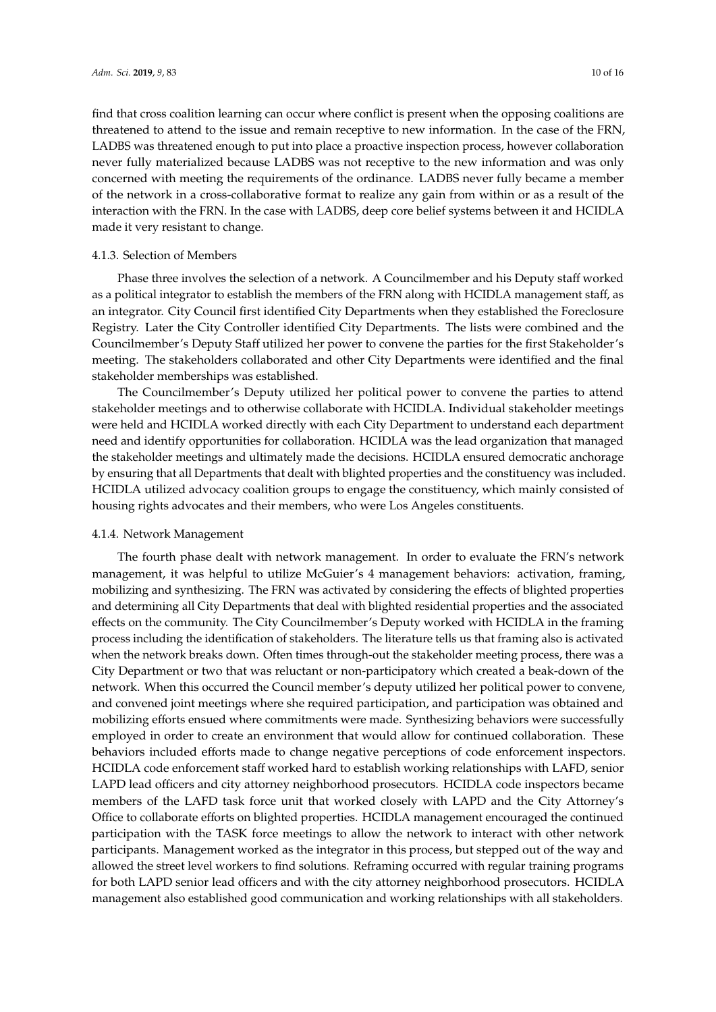find that cross coalition learning can occur where conflict is present when the opposing coalitions are threatened to attend to the issue and remain receptive to new information. In the case of the FRN, LADBS was threatened enough to put into place a proactive inspection process, however collaboration never fully materialized because LADBS was not receptive to the new information and was only concerned with meeting the requirements of the ordinance. LADBS never fully became a member of the network in a cross-collaborative format to realize any gain from within or as a result of the interaction with the FRN. In the case with LADBS, deep core belief systems between it and HCIDLA made it very resistant to change.

#### 4.1.3. Selection of Members

Phase three involves the selection of a network. A Councilmember and his Deputy staff worked as a political integrator to establish the members of the FRN along with HCIDLA management staff, as an integrator. City Council first identified City Departments when they established the Foreclosure Registry. Later the City Controller identified City Departments. The lists were combined and the Councilmember's Deputy Staff utilized her power to convene the parties for the first Stakeholder's meeting. The stakeholders collaborated and other City Departments were identified and the final stakeholder memberships was established.

The Councilmember's Deputy utilized her political power to convene the parties to attend stakeholder meetings and to otherwise collaborate with HCIDLA. Individual stakeholder meetings were held and HCIDLA worked directly with each City Department to understand each department need and identify opportunities for collaboration. HCIDLA was the lead organization that managed the stakeholder meetings and ultimately made the decisions. HCIDLA ensured democratic anchorage by ensuring that all Departments that dealt with blighted properties and the constituency was included. HCIDLA utilized advocacy coalition groups to engage the constituency, which mainly consisted of housing rights advocates and their members, who were Los Angeles constituents.

#### 4.1.4. Network Management

The fourth phase dealt with network management. In order to evaluate the FRN's network management, it was helpful to utilize McGuier's 4 management behaviors: activation, framing, mobilizing and synthesizing. The FRN was activated by considering the effects of blighted properties and determining all City Departments that deal with blighted residential properties and the associated effects on the community. The City Councilmember's Deputy worked with HCIDLA in the framing process including the identification of stakeholders. The literature tells us that framing also is activated when the network breaks down. Often times through-out the stakeholder meeting process, there was a City Department or two that was reluctant or non-participatory which created a beak-down of the network. When this occurred the Council member's deputy utilized her political power to convene, and convened joint meetings where she required participation, and participation was obtained and mobilizing efforts ensued where commitments were made. Synthesizing behaviors were successfully employed in order to create an environment that would allow for continued collaboration. These behaviors included efforts made to change negative perceptions of code enforcement inspectors. HCIDLA code enforcement staff worked hard to establish working relationships with LAFD, senior LAPD lead officers and city attorney neighborhood prosecutors. HCIDLA code inspectors became members of the LAFD task force unit that worked closely with LAPD and the City Attorney's Office to collaborate efforts on blighted properties. HCIDLA management encouraged the continued participation with the TASK force meetings to allow the network to interact with other network participants. Management worked as the integrator in this process, but stepped out of the way and allowed the street level workers to find solutions. Reframing occurred with regular training programs for both LAPD senior lead officers and with the city attorney neighborhood prosecutors. HCIDLA management also established good communication and working relationships with all stakeholders.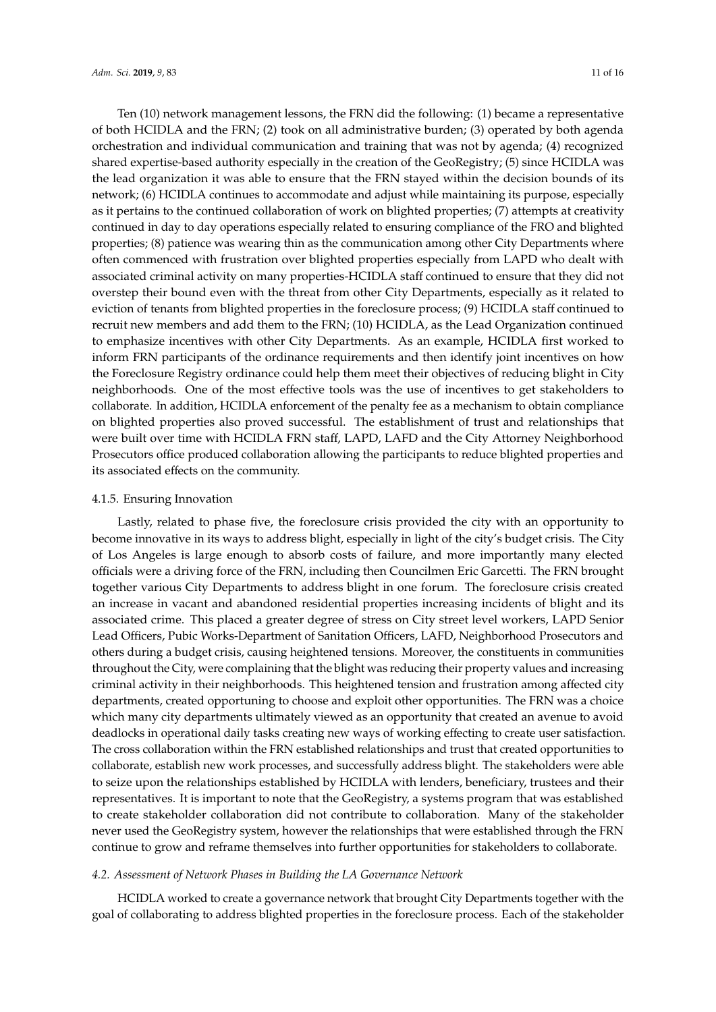Ten (10) network management lessons, the FRN did the following: (1) became a representative of both HCIDLA and the FRN; (2) took on all administrative burden; (3) operated by both agenda orchestration and individual communication and training that was not by agenda; (4) recognized shared expertise-based authority especially in the creation of the GeoRegistry; (5) since HCIDLA was the lead organization it was able to ensure that the FRN stayed within the decision bounds of its network; (6) HCIDLA continues to accommodate and adjust while maintaining its purpose, especially as it pertains to the continued collaboration of work on blighted properties; (7) attempts at creativity continued in day to day operations especially related to ensuring compliance of the FRO and blighted properties; (8) patience was wearing thin as the communication among other City Departments where often commenced with frustration over blighted properties especially from LAPD who dealt with associated criminal activity on many properties-HCIDLA staff continued to ensure that they did not overstep their bound even with the threat from other City Departments, especially as it related to eviction of tenants from blighted properties in the foreclosure process; (9) HCIDLA staff continued to recruit new members and add them to the FRN; (10) HCIDLA, as the Lead Organization continued to emphasize incentives with other City Departments. As an example, HCIDLA first worked to inform FRN participants of the ordinance requirements and then identify joint incentives on how the Foreclosure Registry ordinance could help them meet their objectives of reducing blight in City neighborhoods. One of the most effective tools was the use of incentives to get stakeholders to collaborate. In addition, HCIDLA enforcement of the penalty fee as a mechanism to obtain compliance on blighted properties also proved successful. The establishment of trust and relationships that were built over time with HCIDLA FRN staff, LAPD, LAFD and the City Attorney Neighborhood Prosecutors office produced collaboration allowing the participants to reduce blighted properties and its associated effects on the community.

#### 4.1.5. Ensuring Innovation

Lastly, related to phase five, the foreclosure crisis provided the city with an opportunity to become innovative in its ways to address blight, especially in light of the city's budget crisis. The City of Los Angeles is large enough to absorb costs of failure, and more importantly many elected officials were a driving force of the FRN, including then Councilmen Eric Garcetti. The FRN brought together various City Departments to address blight in one forum. The foreclosure crisis created an increase in vacant and abandoned residential properties increasing incidents of blight and its associated crime. This placed a greater degree of stress on City street level workers, LAPD Senior Lead Officers, Pubic Works-Department of Sanitation Officers, LAFD, Neighborhood Prosecutors and others during a budget crisis, causing heightened tensions. Moreover, the constituents in communities throughout the City, were complaining that the blight was reducing their property values and increasing criminal activity in their neighborhoods. This heightened tension and frustration among affected city departments, created opportuning to choose and exploit other opportunities. The FRN was a choice which many city departments ultimately viewed as an opportunity that created an avenue to avoid deadlocks in operational daily tasks creating new ways of working effecting to create user satisfaction. The cross collaboration within the FRN established relationships and trust that created opportunities to collaborate, establish new work processes, and successfully address blight. The stakeholders were able to seize upon the relationships established by HCIDLA with lenders, beneficiary, trustees and their representatives. It is important to note that the GeoRegistry, a systems program that was established to create stakeholder collaboration did not contribute to collaboration. Many of the stakeholder never used the GeoRegistry system, however the relationships that were established through the FRN continue to grow and reframe themselves into further opportunities for stakeholders to collaborate.

#### *4.2. Assessment of Network Phases in Building the LA Governance Network*

HCIDLA worked to create a governance network that brought City Departments together with the goal of collaborating to address blighted properties in the foreclosure process. Each of the stakeholder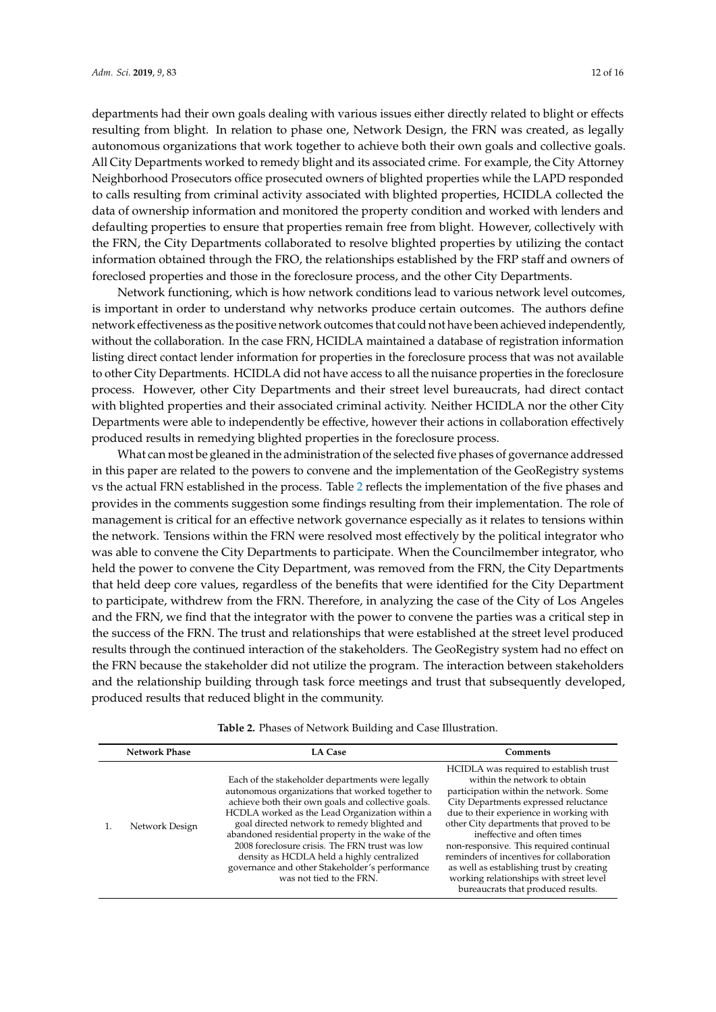departments had their own goals dealing with various issues either directly related to blight or effects resulting from blight. In relation to phase one, Network Design, the FRN was created, as legally autonomous organizations that work together to achieve both their own goals and collective goals. All City Departments worked to remedy blight and its associated crime. For example, the City Attorney Neighborhood Prosecutors office prosecuted owners of blighted properties while the LAPD responded to calls resulting from criminal activity associated with blighted properties, HCIDLA collected the data of ownership information and monitored the property condition and worked with lenders and defaulting properties to ensure that properties remain free from blight. However, collectively with the FRN, the City Departments collaborated to resolve blighted properties by utilizing the contact information obtained through the FRO, the relationships established by the FRP staff and owners of foreclosed properties and those in the foreclosure process, and the other City Departments.

Network functioning, which is how network conditions lead to various network level outcomes, is important in order to understand why networks produce certain outcomes. The authors define network effectiveness as the positive network outcomes that could not have been achieved independently, without the collaboration. In the case FRN, HCIDLA maintained a database of registration information listing direct contact lender information for properties in the foreclosure process that was not available to other City Departments. HCIDLA did not have access to all the nuisance properties in the foreclosure process. However, other City Departments and their street level bureaucrats, had direct contact with blighted properties and their associated criminal activity. Neither HCIDLA nor the other City Departments were able to independently be effective, however their actions in collaboration effectively produced results in remedying blighted properties in the foreclosure process.

What can most be gleaned in the administration of the selected five phases of governance addressed in this paper are related to the powers to convene and the implementation of the GeoRegistry systems vs the actual FRN established in the process. Table [2](#page-12-0) reflects the implementation of the five phases and provides in the comments suggestion some findings resulting from their implementation. The role of management is critical for an effective network governance especially as it relates to tensions within the network. Tensions within the FRN were resolved most effectively by the political integrator who was able to convene the City Departments to participate. When the Councilmember integrator, who held the power to convene the City Department, was removed from the FRN, the City Departments that held deep core values, regardless of the benefits that were identified for the City Department to participate, withdrew from the FRN. Therefore, in analyzing the case of the City of Los Angeles and the FRN, we find that the integrator with the power to convene the parties was a critical step in the success of the FRN. The trust and relationships that were established at the street level produced results through the continued interaction of the stakeholders. The GeoRegistry system had no effect on the FRN because the stakeholder did not utilize the program. The interaction between stakeholders and the relationship building through task force meetings and trust that subsequently developed, produced results that reduced blight in the community.

| <b>Network Phase</b> | <b>LA Case</b>                                                                                                                                                                                                                                                                                                                                                                                                                                                                                  | Comments                                                                                                                                                                                                                                                                                                                                                                                                                                                                                              |
|----------------------|-------------------------------------------------------------------------------------------------------------------------------------------------------------------------------------------------------------------------------------------------------------------------------------------------------------------------------------------------------------------------------------------------------------------------------------------------------------------------------------------------|-------------------------------------------------------------------------------------------------------------------------------------------------------------------------------------------------------------------------------------------------------------------------------------------------------------------------------------------------------------------------------------------------------------------------------------------------------------------------------------------------------|
| Network Design       | Each of the stakeholder departments were legally<br>autonomous organizations that worked together to<br>achieve both their own goals and collective goals.<br>HCDLA worked as the Lead Organization within a<br>goal directed network to remedy blighted and<br>abandoned residential property in the wake of the<br>2008 foreclosure crisis. The FRN trust was low<br>density as HCDLA held a highly centralized<br>governance and other Stakeholder's performance<br>was not tied to the FRN. | HCIDLA was required to establish trust<br>within the network to obtain<br>participation within the network. Some<br>City Departments expressed reluctance<br>due to their experience in working with<br>other City departments that proved to be<br>ineffective and often times<br>non-responsive. This required continual<br>reminders of incentives for collaboration<br>as well as establishing trust by creating<br>working relationships with street level<br>bureaucrats that produced results. |

**Table 2.** Phases of Network Building and Case Illustration.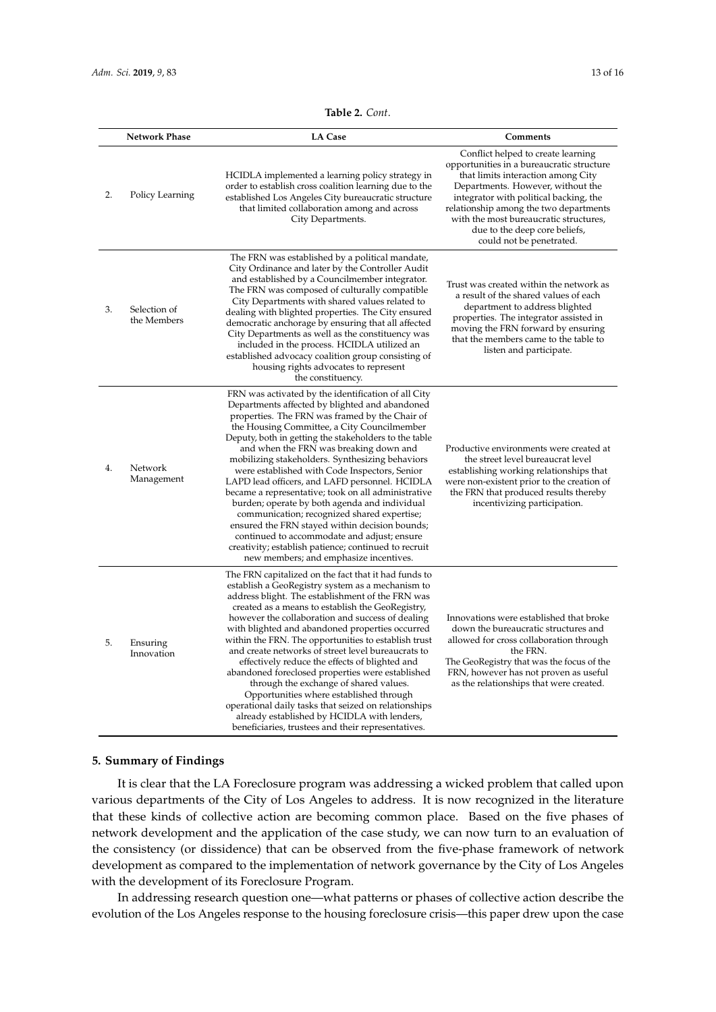| Table 2. Cont. |  |
|----------------|--|
|----------------|--|

<span id="page-12-0"></span>

|    | <b>Network Phase</b>        | <b>LA Case</b>                                                                                                                                                                                                                                                                                                                                                                                                                                                                                                                                                                                                                                                                                                                                                                                                            | Comments                                                                                                                                                                                                                                                                                                                                              |
|----|-----------------------------|---------------------------------------------------------------------------------------------------------------------------------------------------------------------------------------------------------------------------------------------------------------------------------------------------------------------------------------------------------------------------------------------------------------------------------------------------------------------------------------------------------------------------------------------------------------------------------------------------------------------------------------------------------------------------------------------------------------------------------------------------------------------------------------------------------------------------|-------------------------------------------------------------------------------------------------------------------------------------------------------------------------------------------------------------------------------------------------------------------------------------------------------------------------------------------------------|
| 2. | Policy Learning             | HCIDLA implemented a learning policy strategy in<br>order to establish cross coalition learning due to the<br>established Los Angeles City bureaucratic structure<br>that limited collaboration among and across<br>City Departments.                                                                                                                                                                                                                                                                                                                                                                                                                                                                                                                                                                                     | Conflict helped to create learning<br>opportunities in a bureaucratic structure<br>that limits interaction among City<br>Departments. However, without the<br>integrator with political backing, the<br>relationship among the two departments<br>with the most bureaucratic structures,<br>due to the deep core beliefs,<br>could not be penetrated. |
| 3. | Selection of<br>the Members | The FRN was established by a political mandate,<br>City Ordinance and later by the Controller Audit<br>and established by a Councilmember integrator.<br>The FRN was composed of culturally compatible<br>City Departments with shared values related to<br>dealing with blighted properties. The City ensured<br>democratic anchorage by ensuring that all affected<br>City Departments as well as the constituency was<br>included in the process. HCIDLA utilized an<br>established advocacy coalition group consisting of<br>housing rights advocates to represent<br>the constituency.                                                                                                                                                                                                                               | Trust was created within the network as<br>a result of the shared values of each<br>department to address blighted<br>properties. The integrator assisted in<br>moving the FRN forward by ensuring<br>that the members came to the table to<br>listen and participate.                                                                                |
| 4. | Network<br>Management       | FRN was activated by the identification of all City<br>Departments affected by blighted and abandoned<br>properties. The FRN was framed by the Chair of<br>the Housing Committee, a City Councilmember<br>Deputy, both in getting the stakeholders to the table<br>and when the FRN was breaking down and<br>mobilizing stakeholders. Synthesizing behaviors<br>were established with Code Inspectors, Senior<br>LAPD lead officers, and LAFD personnel. HCIDLA<br>became a representative; took on all administrative<br>burden; operate by both agenda and individual<br>communication; recognized shared expertise;<br>ensured the FRN stayed within decision bounds;<br>continued to accommodate and adjust; ensure<br>creativity; establish patience; continued to recruit<br>new members; and emphasize incentives. | Productive environments were created at<br>the street level bureaucrat level<br>establishing working relationships that<br>were non-existent prior to the creation of<br>the FRN that produced results thereby<br>incentivizing participation.                                                                                                        |
| 5. | Ensuring<br>Innovation      | The FRN capitalized on the fact that it had funds to<br>establish a GeoRegistry system as a mechanism to<br>address blight. The establishment of the FRN was<br>created as a means to establish the GeoRegistry,<br>however the collaboration and success of dealing<br>with blighted and abandoned properties occurred<br>within the FRN. The opportunities to establish trust<br>and create networks of street level bureaucrats to<br>effectively reduce the effects of blighted and<br>abandoned foreclosed properties were established<br>through the exchange of shared values.<br>Opportunities where established through<br>operational daily tasks that seized on relationships<br>already established by HCIDLA with lenders,<br>beneficiaries, trustees and their representatives.                             | Innovations were established that broke<br>down the bureaucratic structures and<br>allowed for cross collaboration through<br>the FRN.<br>The GeoRegistry that was the focus of the<br>FRN, however has not proven as useful<br>as the relationships that were created.                                                                               |

## **5. Summary of Findings**

It is clear that the LA Foreclosure program was addressing a wicked problem that called upon various departments of the City of Los Angeles to address. It is now recognized in the literature that these kinds of collective action are becoming common place. Based on the five phases of network development and the application of the case study, we can now turn to an evaluation of the consistency (or dissidence) that can be observed from the five-phase framework of network development as compared to the implementation of network governance by the City of Los Angeles with the development of its Foreclosure Program.

In addressing research question one—what patterns or phases of collective action describe the evolution of the Los Angeles response to the housing foreclosure crisis—this paper drew upon the case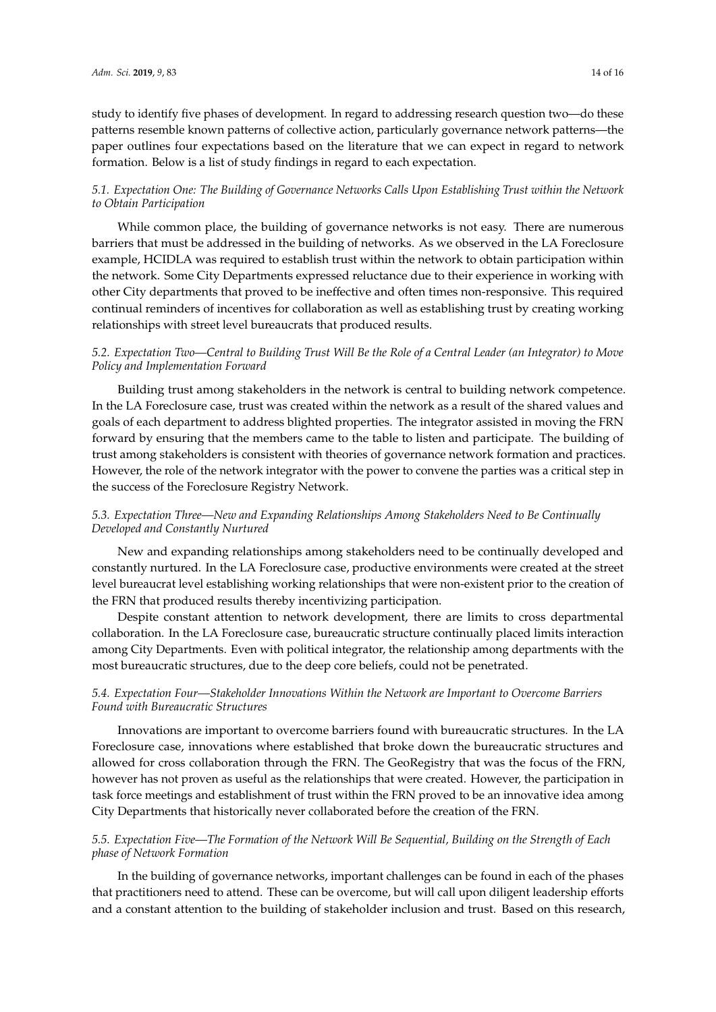study to identify five phases of development. In regard to addressing research question two—do these patterns resemble known patterns of collective action, particularly governance network patterns—the paper outlines four expectations based on the literature that we can expect in regard to network formation. Below is a list of study findings in regard to each expectation.

# *5.1. Expectation One: The Building of Governance Networks Calls Upon Establishing Trust within the Network to Obtain Participation*

While common place, the building of governance networks is not easy. There are numerous barriers that must be addressed in the building of networks. As we observed in the LA Foreclosure example, HCIDLA was required to establish trust within the network to obtain participation within the network. Some City Departments expressed reluctance due to their experience in working with other City departments that proved to be ineffective and often times non-responsive. This required continual reminders of incentives for collaboration as well as establishing trust by creating working relationships with street level bureaucrats that produced results.

## *5.2. Expectation Two—Central to Building Trust Will Be the Role of a Central Leader (an Integrator) to Move Policy and Implementation Forward*

Building trust among stakeholders in the network is central to building network competence. In the LA Foreclosure case, trust was created within the network as a result of the shared values and goals of each department to address blighted properties. The integrator assisted in moving the FRN forward by ensuring that the members came to the table to listen and participate. The building of trust among stakeholders is consistent with theories of governance network formation and practices. However, the role of the network integrator with the power to convene the parties was a critical step in the success of the Foreclosure Registry Network.

# *5.3. Expectation Three—New and Expanding Relationships Among Stakeholders Need to Be Continually Developed and Constantly Nurtured*

New and expanding relationships among stakeholders need to be continually developed and constantly nurtured. In the LA Foreclosure case, productive environments were created at the street level bureaucrat level establishing working relationships that were non-existent prior to the creation of the FRN that produced results thereby incentivizing participation.

Despite constant attention to network development, there are limits to cross departmental collaboration. In the LA Foreclosure case, bureaucratic structure continually placed limits interaction among City Departments. Even with political integrator, the relationship among departments with the most bureaucratic structures, due to the deep core beliefs, could not be penetrated.

# *5.4. Expectation Four—Stakeholder Innovations Within the Network are Important to Overcome Barriers Found with Bureaucratic Structures*

Innovations are important to overcome barriers found with bureaucratic structures. In the LA Foreclosure case, innovations where established that broke down the bureaucratic structures and allowed for cross collaboration through the FRN. The GeoRegistry that was the focus of the FRN, however has not proven as useful as the relationships that were created. However, the participation in task force meetings and establishment of trust within the FRN proved to be an innovative idea among City Departments that historically never collaborated before the creation of the FRN.

# *5.5. Expectation Five—The Formation of the Network Will Be Sequential, Building on the Strength of Each phase of Network Formation*

In the building of governance networks, important challenges can be found in each of the phases that practitioners need to attend. These can be overcome, but will call upon diligent leadership efforts and a constant attention to the building of stakeholder inclusion and trust. Based on this research,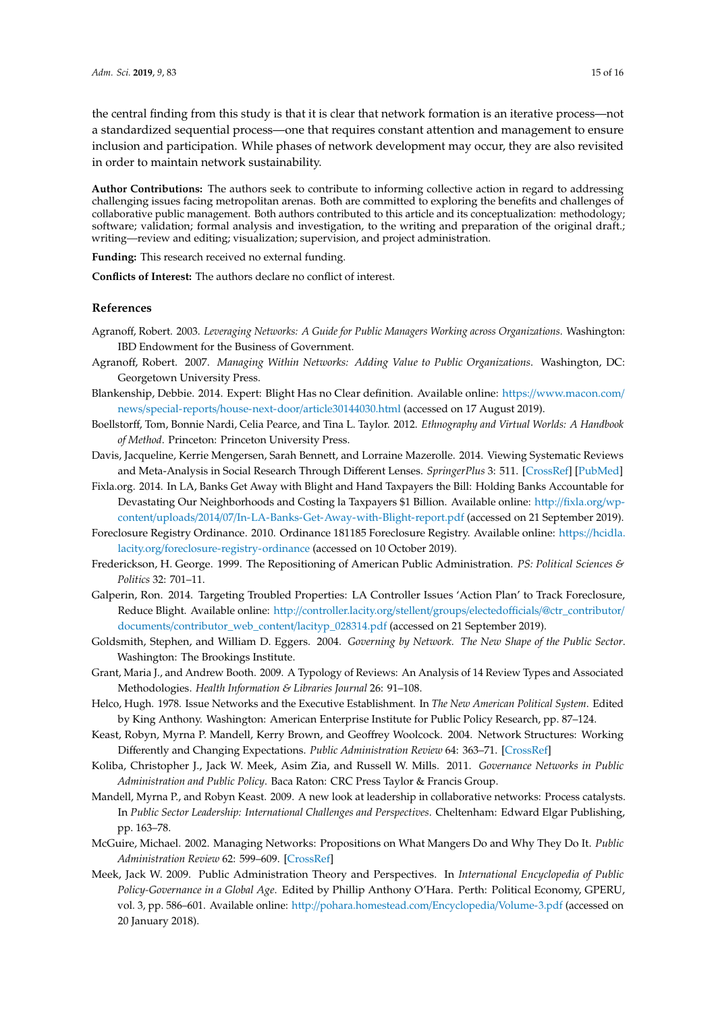the central finding from this study is that it is clear that network formation is an iterative process—not a standardized sequential process—one that requires constant attention and management to ensure inclusion and participation. While phases of network development may occur, they are also revisited in order to maintain network sustainability.

**Author Contributions:** The authors seek to contribute to informing collective action in regard to addressing challenging issues facing metropolitan arenas. Both are committed to exploring the benefits and challenges of collaborative public management. Both authors contributed to this article and its conceptualization: methodology; software; validation; formal analysis and investigation, to the writing and preparation of the original draft.; writing—review and editing; visualization; supervision, and project administration.

**Funding:** This research received no external funding.

**Conflicts of Interest:** The authors declare no conflict of interest.

## **References**

- <span id="page-14-12"></span>Agranoff, Robert. 2003. *Leveraging Networks: A Guide for Public Managers Working across Organizations*. Washington: IBD Endowment for the Business of Government.
- <span id="page-14-13"></span>Agranoff, Robert. 2007. *Managing Within Networks: Adding Value to Public Organizations*. Washington, DC: Georgetown University Press.
- <span id="page-14-14"></span>Blankenship, Debbie. 2014. Expert: Blight Has no Clear definition. Available online: https://[www.macon.com](https://www.macon.com/news/special-reports/house-next-door/article30144030.html)/ news/special-reports/house-next-door/[article30144030.html](https://www.macon.com/news/special-reports/house-next-door/article30144030.html) (accessed on 17 August 2019).
- <span id="page-14-3"></span>Boellstorff, Tom, Bonnie Nardi, Celia Pearce, and Tina L. Taylor. 2012. *Ethnography and Virtual Worlds: A Handbook of Method*. Princeton: Princeton University Press.
- <span id="page-14-1"></span>Davis, Jacqueline, Kerrie Mengersen, Sarah Bennett, and Lorraine Mazerolle. 2014. Viewing Systematic Reviews and Meta-Analysis in Social Research Through Different Lenses. *SpringerPlus* 3: 511. [\[CrossRef\]](http://dx.doi.org/10.1186/2193-1801-3-511) [\[PubMed\]](http://www.ncbi.nlm.nih.gov/pubmed/25279303)
- <span id="page-14-0"></span>Fixla.org. 2014. In LA, Banks Get Away with Blight and Hand Taxpayers the Bill: Holding Banks Accountable for Devastating Our Neighborhoods and Costing la Taxpayers \$1 Billion. Available online: http://[fixla.org](http://fixla.org/wp-content/uploads/2014/07/In-LA-Banks-Get-Away-with-Blight-report.pdf)/wpcontent/uploads/2014/07/[In-LA-Banks-Get-Away-with-Blight-report.pdf](http://fixla.org/wp-content/uploads/2014/07/In-LA-Banks-Get-Away-with-Blight-report.pdf) (accessed on 21 September 2019).
- <span id="page-14-15"></span>Foreclosure Registry Ordinance. 2010. Ordinance 181185 Foreclosure Registry. Available online: https://[hcidla.](https://hcidla.lacity.org/foreclosure-registry-ordinance) lacity.org/[foreclosure-registry-ordinance](https://hcidla.lacity.org/foreclosure-registry-ordinance) (accessed on 10 October 2019).
- <span id="page-14-5"></span>Frederickson, H. George. 1999. The Repositioning of American Public Administration. *PS: Political Sciences & Politics* 32: 701–11.
- <span id="page-14-16"></span>Galperin, Ron. 2014. Targeting Troubled Properties: LA Controller Issues 'Action Plan' to Track Foreclosure, Reduce Blight. Available online: http://[controller.lacity.org](http://controller.lacity.org/stellent/groups/electedofficials/@ctr_contributor/documents/contributor_web_content/lacityp_028314.pdf)/stellent/groups/electedofficials/@ctr\_contributor/ documents/[contributor\\_web\\_content](http://controller.lacity.org/stellent/groups/electedofficials/@ctr_contributor/documents/contributor_web_content/lacityp_028314.pdf)/lacityp\_028314.pdf (accessed on 21 September 2019).
- <span id="page-14-9"></span>Goldsmith, Stephen, and William D. Eggers. 2004. *Governing by Network. The New Shape of the Public Sector*. Washington: The Brookings Institute.
- <span id="page-14-2"></span>Grant, Maria J., and Andrew Booth. 2009. A Typology of Reviews: An Analysis of 14 Review Types and Associated Methodologies. *Health Information & Libraries Journal* 26: 91–108.
- <span id="page-14-7"></span>Helco, Hugh. 1978. Issue Networks and the Executive Establishment. In *The New American Political System*. Edited by King Anthony. Washington: American Enterprise Institute for Public Policy Research, pp. 87–124.
- <span id="page-14-6"></span>Keast, Robyn, Myrna P. Mandell, Kerry Brown, and Geoffrey Woolcock. 2004. Network Structures: Working Differently and Changing Expectations. *Public Administration Review* 64: 363–71. [\[CrossRef\]](http://dx.doi.org/10.1111/j.1540-6210.2004.00380.x)
- <span id="page-14-8"></span>Koliba, Christopher J., Jack W. Meek, Asim Zia, and Russell W. Mills. 2011. *Governance Networks in Public Administration and Public Policy*. Baca Raton: CRC Press Taylor & Francis Group.
- <span id="page-14-10"></span>Mandell, Myrna P., and Robyn Keast. 2009. A new look at leadership in collaborative networks: Process catalysts. In *Public Sector Leadership: International Challenges and Perspectives*. Cheltenham: Edward Elgar Publishing, pp. 163–78.
- <span id="page-14-11"></span>McGuire, Michael. 2002. Managing Networks: Propositions on What Mangers Do and Why They Do It. *Public Administration Review* 62: 599–609. [\[CrossRef\]](http://dx.doi.org/10.1111/1540-6210.00240)
- <span id="page-14-4"></span>Meek, Jack W. 2009. Public Administration Theory and Perspectives. In *International Encyclopedia of Public Policy-Governance in a Global Age*. Edited by Phillip Anthony O'Hara. Perth: Political Economy, GPERU, vol. 3, pp. 586–601. Available online: http://[pohara.homestead.com](http://pohara.homestead.com/Encyclopedia/Volume-3.pdf)/Encyclopedia/Volume-3.pdf (accessed on 20 January 2018).